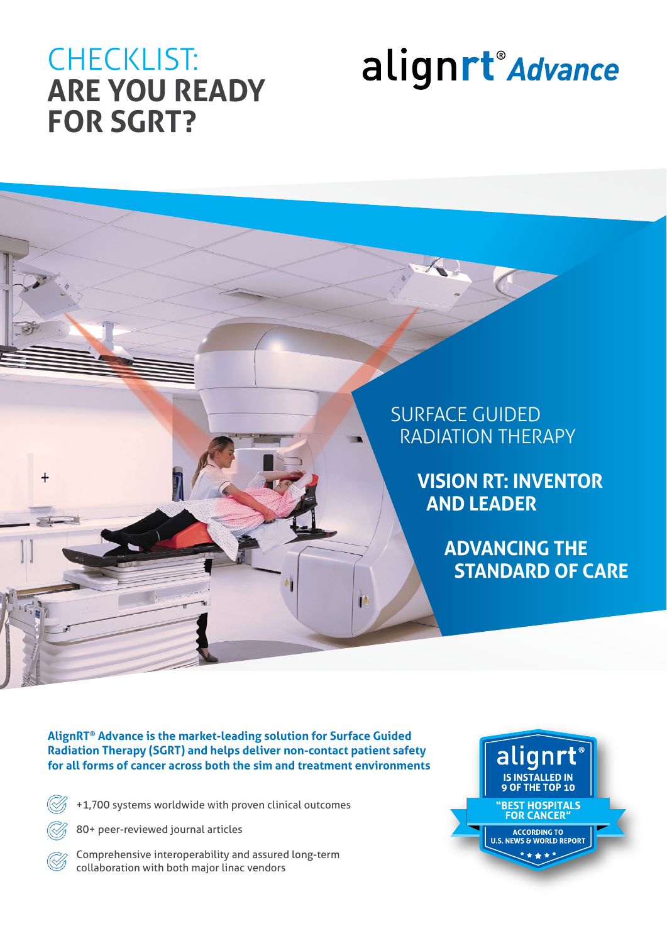## CHECKLIST: **ARE YOU READY FOR SGRT?**

## alignrt<sup>®</sup> Advance



**AlignRT® Advance is the market-leading solution for Surface Guided Radiation Therapy (SGRT) and helps deliver non-contact patient safety for all forms of cancer across both the sim and treatment environments**

 $\bigotimes$ 

+1,700 systems worldwide with proven clinical outcomes

80+ peer-reviewed journal articles

Comprehensive interoperability and assured long-term collaboration with both major linac vendors